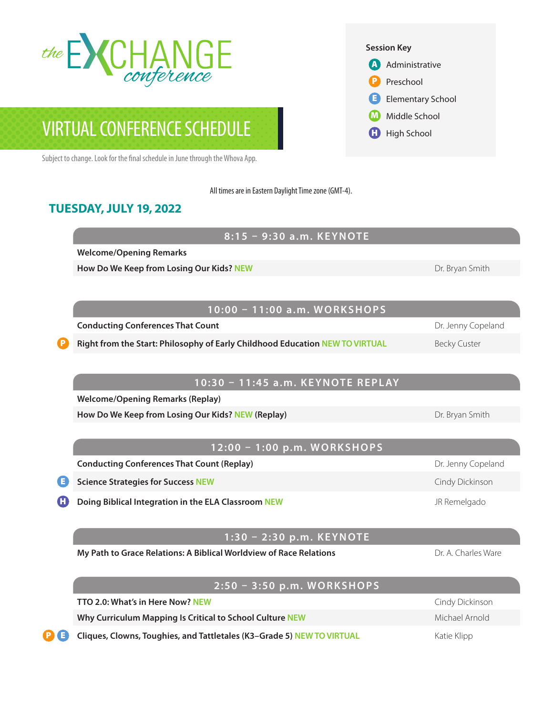

# VIRTUAL CONFERENCE SCHEDULE

Subject to change. Look for the final schedule in June through the Whova App.

All times are in Eastern Daylight Time zone (GMT-4).

## **TUESDAY, JULY 19, 2022**

**8:15 – 9:30 a.m. KEYNOTE**

**Welcome/Opening Remarks**

**How Do We Keep from Losing Our Kids? NEW Dr. Bryan Smith And Dr. Bryan Smith** 

**Conducting Conferences That Count** Dr. Jenny Copeland

Right from the Start: Philosophy of Early Childhood Education NEW TO VIRTUAL **Becky Custer** 

#### **10:30 – 11:45 a.m. KEYNOTE REPLAY**

**10:00 – 11:00 a.m. WORKSHOPS**

**Welcome/Opening Remarks (Replay)** 

**How Do We Keep from Losing Our Kids? NEW (Replay) Dream Control Control Control Control Control Control Control Control Control Control Control Control Control Control Control Control Control Control Control Control Con** 

### **12:00 – 1:00 p.m. WORKSHOPS**

**Conducting Conferences That Count (Replay) Dr. Jenny Copeland** Dr. Jenny Copeland

**Example Strategies for Success NEW Cindy Dickinson** Cindy Dickinson

**Doing Biblical Integration in the ELA Classroom NEW Given the Second Service Control of Remelgado** 

#### **1:30 – 2:30 p.m. KEYNOTE**

**My Path to Grace Relations: A Biblical Worldview of Race Relations Decay of A A A A Charles Ware** 

**2:50 – 3:50 p.m. WORKSHOPS TTO 2.0: What's in Here Now? NEW** CHERET CONSIDERING THE STATE CONSIDERING OF CINDING DICKINSON **Why Curriculum Mapping Is Critical to School Culture NEW Michael Arnold Michael Arnold Cliques, Clowns, Toughies, and Tattletales (K3–Grade 5) NEW TO VIRTUAL** Katie Klipp



High School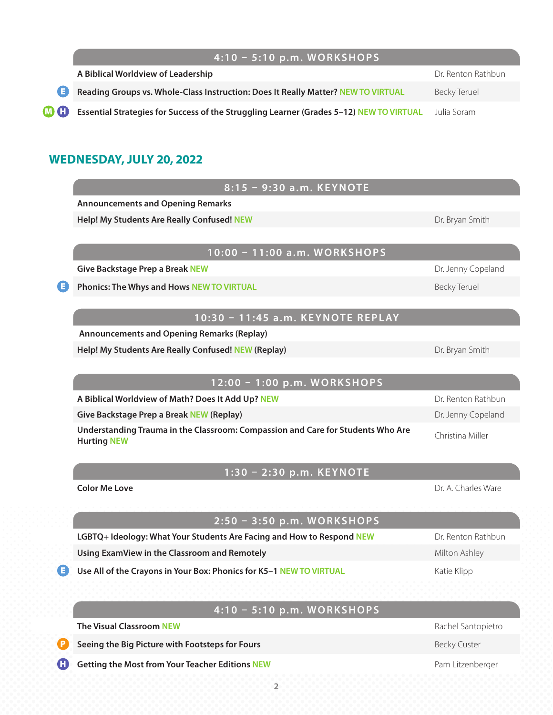# **4:10 – 5:10 p.m. WORKSHOPS**

| A Biblical Worldview of Leadership                                                                 | Dr. Renton Rathbun |
|----------------------------------------------------------------------------------------------------|--------------------|
| Reading Groups vs. Whole-Class Instruction: Does It Really Matter? NEW TO VIRTUAL                  | Becky Teruel       |
| <b>M C</b> Essential Strategies for Success of the Struggling Learner (Grades 5-12) NEW TO VIRTUAL | Julia Soram        |

# **WEDNESDAY, JULY 20, 2022**

| 8:15 - 9:30 a.m. KEYNOTE                                                                              |                     |
|-------------------------------------------------------------------------------------------------------|---------------------|
| <b>Announcements and Opening Remarks</b>                                                              |                     |
| Help! My Students Are Really Confused! NEW                                                            | Dr. Bryan Smith     |
|                                                                                                       |                     |
| 10:00 - 11:00 a.m. WORKSHOPS                                                                          |                     |
| <b>Give Backstage Prep a Break NEW</b>                                                                | Dr. Jenny Copeland  |
| Phonics: The Whys and Hows NEW TO VIRTUAL                                                             | <b>Becky Teruel</b> |
|                                                                                                       |                     |
| 10:30 - 11:45 a.m. KEYNOTE REPLAY                                                                     |                     |
| <b>Announcements and Opening Remarks (Replay)</b>                                                     |                     |
| Help! My Students Are Really Confused! NEW (Replay)                                                   | Dr. Bryan Smith     |
| 12:00 - 1:00 p.m. WORKSHOPS                                                                           |                     |
| A Biblical Worldview of Math? Does It Add Up? NEW                                                     | Dr. Renton Rathbun  |
| <b>Give Backstage Prep a Break NEW (Replay)</b>                                                       | Dr. Jenny Copeland  |
| Understanding Trauma in the Classroom: Compassion and Care for Students Who Are<br><b>Hurting NEW</b> | Christina Miller    |
| 1:30 - 2:30 p.m. KEYNOTE                                                                              |                     |
| <b>Color Me Love</b>                                                                                  | Dr. A. Charles Ware |
|                                                                                                       |                     |
| 2:50 - 3:50 p.m. WORKSHOPS                                                                            |                     |
| LGBTQ+ Ideology: What Your Students Are Facing and How to Respond NEW                                 | Dr. Renton Rathbun  |
| Using ExamView in the Classroom and Remotely                                                          | Milton Ashley       |
| Use All of the Crayons in Your Box: Phonics for K5-1 NEW TO VIRTUAL                                   | Katie Klipp         |
|                                                                                                       |                     |
| 4:10 - 5:10 p.m. WORKSHOPS                                                                            |                     |
| <b>The Visual Classroom NEW</b>                                                                       | Rachel Santopietro  |
| Seeing the Big Picture with Footsteps for Fours                                                       | <b>Becky Custer</b> |
| <b>Getting the Most from Your Teacher Editions NEW</b>                                                | Pam Litzenberger    |
|                                                                                                       |                     |